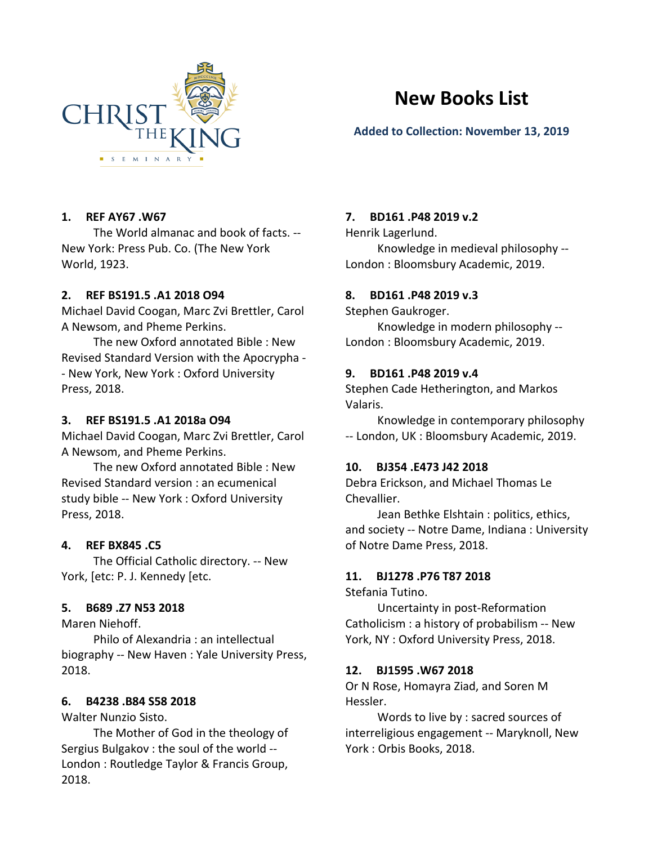

# **New Books List**

# **Added to Collection: November 13, 2019**

# **1. REF AY67 .W67**

The World almanac and book of facts. -- New York: Press Pub. Co. (The New York World, 1923.

# **2. REF BS191.5 .A1 2018 O94**

Michael David Coogan, Marc Zvi Brettler, Carol A Newsom, and Pheme Perkins.

The new Oxford annotated Bible : New Revised Standard Version with the Apocrypha - - New York, New York : Oxford University Press, 2018.

# **3. REF BS191.5 .A1 2018a O94**

Michael David Coogan, Marc Zvi Brettler, Carol A Newsom, and Pheme Perkins.

The new Oxford annotated Bible : New Revised Standard version : an ecumenical study bible -- New York : Oxford University Press, 2018.

# **4. REF BX845 .C5**

The Official Catholic directory. -- New York, [etc: P. J. Kennedy [etc.

# **5. B689 .Z7 N53 2018**

Maren Niehoff.

Philo of Alexandria : an intellectual biography -- New Haven : Yale University Press, 2018.

# **6. B4238 .B84 S58 2018**

Walter Nunzio Sisto.

The Mother of God in the theology of Sergius Bulgakov : the soul of the world -- London : Routledge Taylor & Francis Group, 2018.

# **7. BD161 .P48 2019 v.2**

Henrik Lagerlund.

Knowledge in medieval philosophy -- London : Bloomsbury Academic, 2019.

# **8. BD161 .P48 2019 v.3**

Stephen Gaukroger.

Knowledge in modern philosophy -- London : Bloomsbury Academic, 2019.

# **9. BD161 .P48 2019 v.4**

Stephen Cade Hetherington, and Markos Valaris.

Knowledge in contemporary philosophy -- London, UK : Bloomsbury Academic, 2019.

# **10. BJ354 .E473 J42 2018**

Debra Erickson, and Michael Thomas Le Chevallier.

Jean Bethke Elshtain : politics, ethics, and society -- Notre Dame, Indiana : University of Notre Dame Press, 2018.

# **11. BJ1278 .P76 T87 2018**

Stefania Tutino.

Uncertainty in post-Reformation Catholicism : a history of probabilism -- New York, NY : Oxford University Press, 2018.

# **12. BJ1595 .W67 2018**

Or N Rose, Homayra Ziad, and Soren M Hessler.

Words to live by : sacred sources of interreligious engagement -- Maryknoll, New York : Orbis Books, 2018.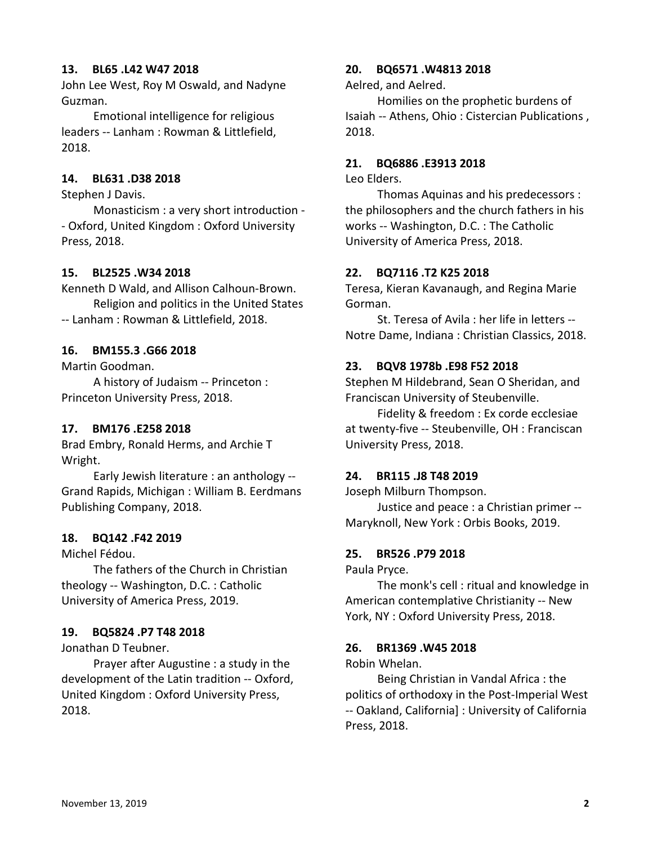# **13. BL65 .L42 W47 2018**

John Lee West, Roy M Oswald, and Nadyne Guzman.

Emotional intelligence for religious leaders -- Lanham : Rowman & Littlefield, 2018.

# **14. BL631 .D38 2018**

Stephen J Davis.

Monasticism : a very short introduction - - Oxford, United Kingdom : Oxford University Press, 2018.

### **15. BL2525 .W34 2018**

Kenneth D Wald, and Allison Calhoun-Brown. Religion and politics in the United States -- Lanham : Rowman & Littlefield, 2018.

### **16. BM155.3 .G66 2018**

Martin Goodman.

A history of Judaism -- Princeton : Princeton University Press, 2018.

# **17. BM176 .E258 2018**

Brad Embry, Ronald Herms, and Archie T Wright.

Early Jewish literature : an anthology -- Grand Rapids, Michigan : William B. Eerdmans Publishing Company, 2018.

### **18. BQ142 .F42 2019**

Michel Fédou.

The fathers of the Church in Christian theology -- Washington, D.C. : Catholic University of America Press, 2019.

#### **19. BQ5824 .P7 T48 2018**

Jonathan D Teubner.

Prayer after Augustine : a study in the development of the Latin tradition -- Oxford, United Kingdom : Oxford University Press, 2018.

### **20. BQ6571 .W4813 2018**

Aelred, and Aelred.

Homilies on the prophetic burdens of Isaiah -- Athens, Ohio : Cistercian Publications , 2018.

#### **21. BQ6886 .E3913 2018**

Leo Elders.

Thomas Aquinas and his predecessors : the philosophers and the church fathers in his works -- Washington, D.C. : The Catholic University of America Press, 2018.

#### **22. BQ7116 .T2 K25 2018**

Teresa, Kieran Kavanaugh, and Regina Marie Gorman.

St. Teresa of Avila : her life in letters -- Notre Dame, Indiana : Christian Classics, 2018.

#### **23. BQV8 1978b .E98 F52 2018**

Stephen M Hildebrand, Sean O Sheridan, and Franciscan University of Steubenville.

Fidelity & freedom : Ex corde ecclesiae at twenty-five -- Steubenville, OH : Franciscan University Press, 2018.

### **24. BR115 .J8 T48 2019**

Joseph Milburn Thompson.

Justice and peace : a Christian primer -- Maryknoll, New York : Orbis Books, 2019.

### **25. BR526 .P79 2018**

Paula Pryce.

The monk's cell : ritual and knowledge in American contemplative Christianity -- New York, NY : Oxford University Press, 2018.

#### **26. BR1369 .W45 2018**

#### Robin Whelan.

Being Christian in Vandal Africa : the politics of orthodoxy in the Post-Imperial West -- Oakland, California] : University of California Press, 2018.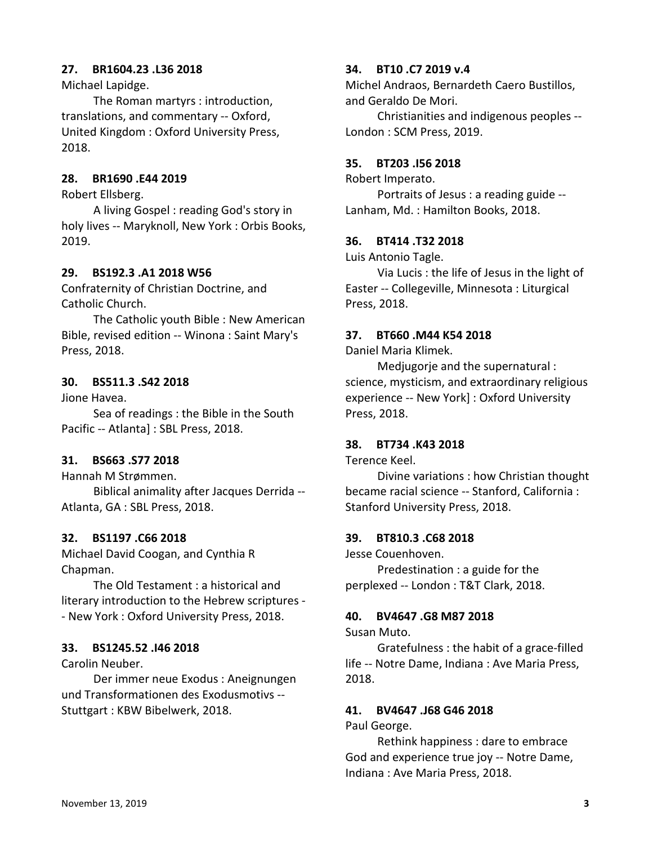# **27. BR1604.23 .L36 2018**

Michael Lapidge.

The Roman martyrs : introduction, translations, and commentary -- Oxford, United Kingdom : Oxford University Press, 2018.

# **28. BR1690 .E44 2019**

Robert Ellsberg.

A living Gospel : reading God's story in holy lives -- Maryknoll, New York : Orbis Books, 2019.

### **29. BS192.3 .A1 2018 W56**

Confraternity of Christian Doctrine, and Catholic Church.

The Catholic youth Bible : New American Bible, revised edition -- Winona : Saint Mary's Press, 2018.

# **30. BS511.3 .S42 2018**

Jione Havea.

Sea of readings : the Bible in the South Pacific -- Atlanta] : SBL Press, 2018.

# **31. BS663 .S77 2018**

Hannah M Strømmen.

Biblical animality after Jacques Derrida -- Atlanta, GA : SBL Press, 2018.

#### **32. BS1197 .C66 2018**

Michael David Coogan, and Cynthia R Chapman.

The Old Testament : a historical and literary introduction to the Hebrew scriptures - - New York : Oxford University Press, 2018.

#### **33. BS1245.52 .I46 2018**

Carolin Neuber.

Der immer neue Exodus : Aneignungen und Transformationen des Exodusmotivs -- Stuttgart : KBW Bibelwerk, 2018.

# **34. BT10 .C7 2019 v.4**

Michel Andraos, Bernardeth Caero Bustillos, and Geraldo De Mori.

Christianities and indigenous peoples -- London : SCM Press, 2019.

#### **35. BT203 .I56 2018**

Robert Imperato.

Portraits of Jesus : a reading guide -- Lanham, Md. : Hamilton Books, 2018.

# **36. BT414 .T32 2018**

Luis Antonio Tagle.

Via Lucis : the life of Jesus in the light of Easter -- Collegeville, Minnesota : Liturgical Press, 2018.

#### **37. BT660 .M44 K54 2018**

Daniel Maria Klimek.

Medjugorje and the supernatural : science, mysticism, and extraordinary religious experience -- New York] : Oxford University Press, 2018.

#### **38. BT734 .K43 2018**

Terence Keel.

Divine variations : how Christian thought became racial science -- Stanford, California : Stanford University Press, 2018.

#### **39. BT810.3 .C68 2018**

Jesse Couenhoven.

Predestination : a guide for the perplexed -- London : T&T Clark, 2018.

#### **40. BV4647 .G8 M87 2018**

Susan Muto.

Gratefulness : the habit of a grace-filled life -- Notre Dame, Indiana : Ave Maria Press, 2018.

# **41. BV4647 .J68 G46 2018**

Paul George.

Rethink happiness : dare to embrace God and experience true joy -- Notre Dame, Indiana : Ave Maria Press, 2018.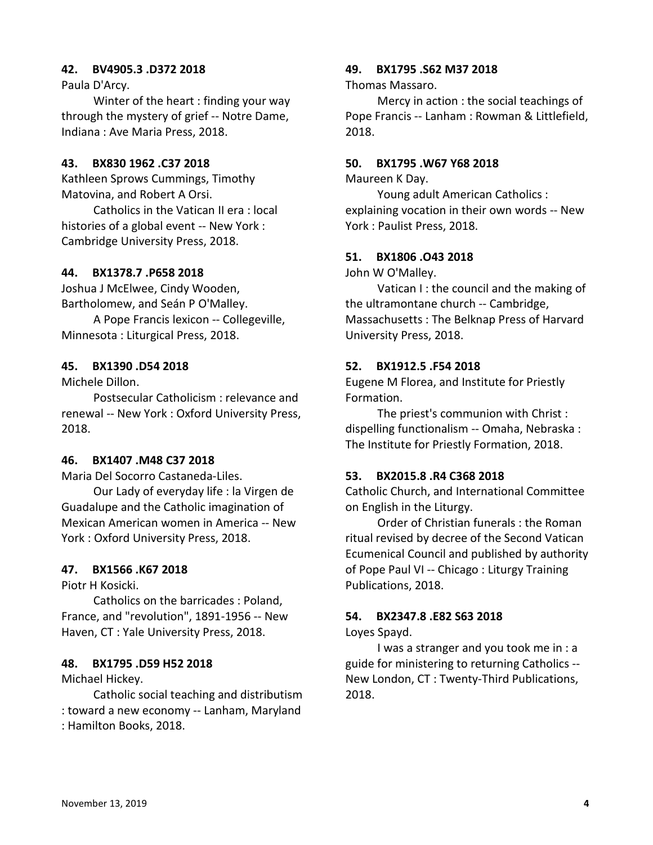# **42. BV4905.3 .D372 2018**

Paula D'Arcy.

Winter of the heart : finding your way through the mystery of grief -- Notre Dame, Indiana : Ave Maria Press, 2018.

### **43. BX830 1962 .C37 2018**

Kathleen Sprows Cummings, Timothy Matovina, and Robert A Orsi.

Catholics in the Vatican II era : local histories of a global event -- New York : Cambridge University Press, 2018.

### **44. BX1378.7 .P658 2018**

Joshua J McElwee, Cindy Wooden, Bartholomew, and Seán P O'Malley.

A Pope Francis lexicon -- Collegeville, Minnesota : Liturgical Press, 2018.

# **45. BX1390 .D54 2018**

Michele Dillon.

Postsecular Catholicism : relevance and renewal -- New York : Oxford University Press, 2018.

# **46. BX1407 .M48 C37 2018**

Maria Del Socorro Castaneda-Liles.

Our Lady of everyday life : la Virgen de Guadalupe and the Catholic imagination of Mexican American women in America -- New York : Oxford University Press, 2018.

### **47. BX1566 .K67 2018**

Piotr H Kosicki.

Catholics on the barricades : Poland, France, and "revolution", 1891-1956 -- New Haven, CT : Yale University Press, 2018.

### **48. BX1795 .D59 H52 2018**

Michael Hickey.

Catholic social teaching and distributism : toward a new economy -- Lanham, Maryland : Hamilton Books, 2018.

### **49. BX1795 .S62 M37 2018**

Thomas Massaro.

Mercy in action : the social teachings of Pope Francis -- Lanham : Rowman & Littlefield, 2018.

#### **50. BX1795 .W67 Y68 2018**

Maureen K Day.

Young adult American Catholics : explaining vocation in their own words -- New York : Paulist Press, 2018.

#### **51. BX1806 .O43 2018**

John W O'Malley.

Vatican I : the council and the making of the ultramontane church -- Cambridge, Massachusetts : The Belknap Press of Harvard University Press, 2018.

# **52. BX1912.5 .F54 2018**

Eugene M Florea, and Institute for Priestly Formation.

The priest's communion with Christ : dispelling functionalism -- Omaha, Nebraska : The Institute for Priestly Formation, 2018.

### **53. BX2015.8 .R4 C368 2018**

Catholic Church, and International Committee on English in the Liturgy.

Order of Christian funerals : the Roman ritual revised by decree of the Second Vatican Ecumenical Council and published by authority of Pope Paul VI -- Chicago : Liturgy Training Publications, 2018.

# **54. BX2347.8 .E82 S63 2018**

# Loyes Spayd.

I was a stranger and you took me in : a guide for ministering to returning Catholics -- New London, CT : Twenty-Third Publications, 2018.